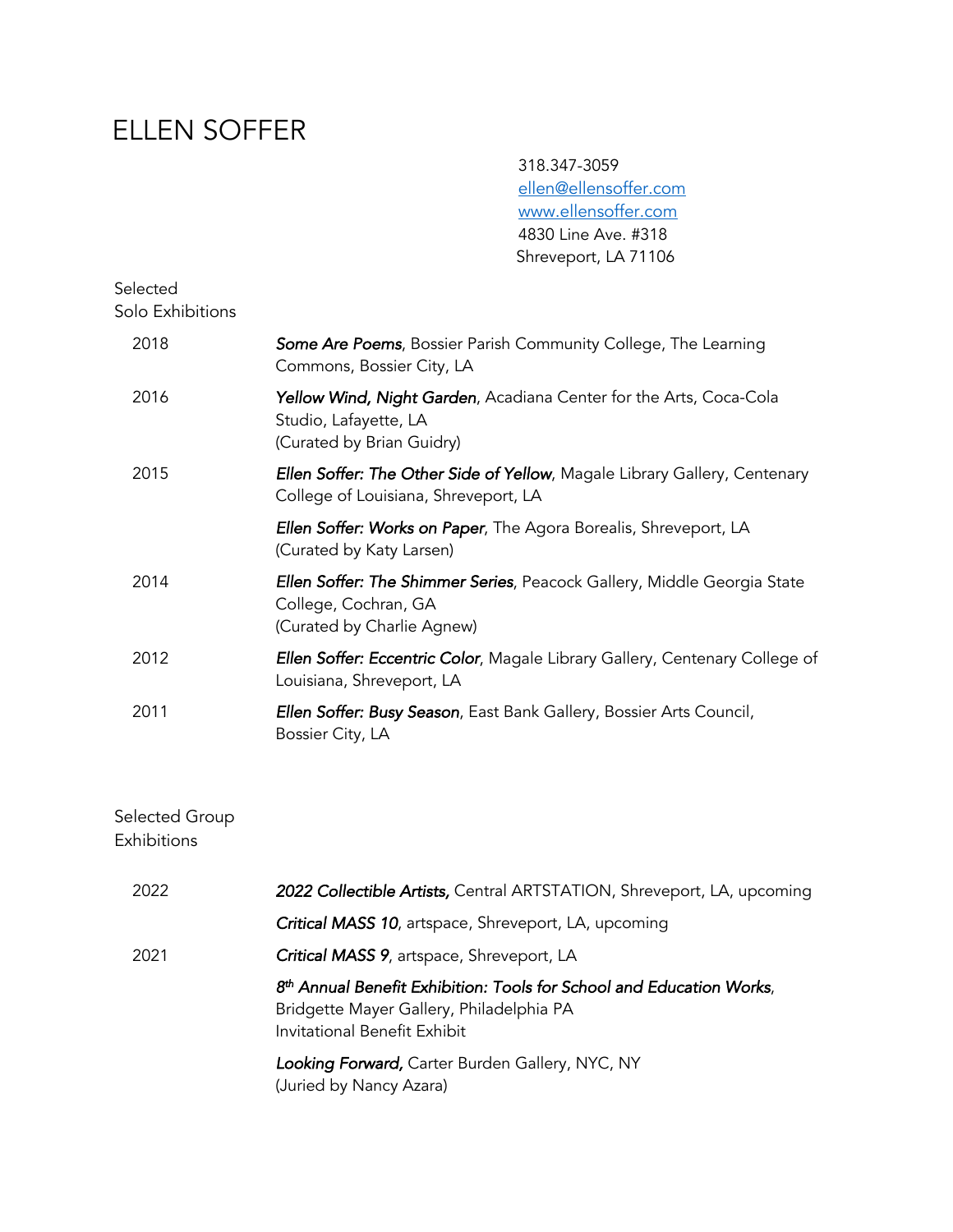# ELLEN SOFFER

 318.347-3059 ellen@ellensoffer.com www.ellensoffer.com 4830 Line Ave. #318 Shreveport, LA 71106

### Selected Solo Exhibitions

| 2018 | Some Are Poems, Bossier Parish Community College, The Learning<br>Commons, Bossier City, LA                                      |
|------|----------------------------------------------------------------------------------------------------------------------------------|
| 2016 | <b>Yellow Wind, Night Garden</b> , Acadiana Center for the Arts, Coca-Cola<br>Studio, Lafayette, LA<br>(Curated by Brian Guidry) |
| 2015 | <b>Ellen Soffer: The Other Side of Yellow, Magale Library Gallery, Centenary</b><br>College of Louisiana, Shreveport, LA         |
|      | <b>Ellen Soffer: Works on Paper</b> , The Agora Borealis, Shreveport, LA<br>(Curated by Katy Larsen)                             |
| 2014 | Ellen Soffer: The Shimmer Series, Peacock Gallery, Middle Georgia State<br>College, Cochran, GA<br>(Curated by Charlie Agnew)    |
| 2012 | Ellen Soffer: Eccentric Color, Magale Library Gallery, Centenary College of<br>Louisiana, Shreveport, LA                         |
| 2011 | <b>Ellen Soffer: Busy Season</b> , East Bank Gallery, Bossier Arts Council,<br>Bossier City, LA                                  |
|      |                                                                                                                                  |

### Selected Group Exhibitions

| 2022 | 2022 Collectible Artists, Central ARTSTATION, Shreveport, LA, upcoming                                                                                       |
|------|--------------------------------------------------------------------------------------------------------------------------------------------------------------|
|      | Critical MASS 10, artspace, Shreveport, LA, upcoming                                                                                                         |
| 2021 | Critical MASS 9, artspace, Shreveport, LA                                                                                                                    |
|      | 8 <sup>th</sup> Annual Benefit Exhibition: Tools for School and Education Works,<br>Bridgette Mayer Gallery, Philadelphia PA<br>Invitational Benefit Exhibit |
|      | Looking Forward, Carter Burden Gallery, NYC, NY<br>(Juried by Nancy Azara)                                                                                   |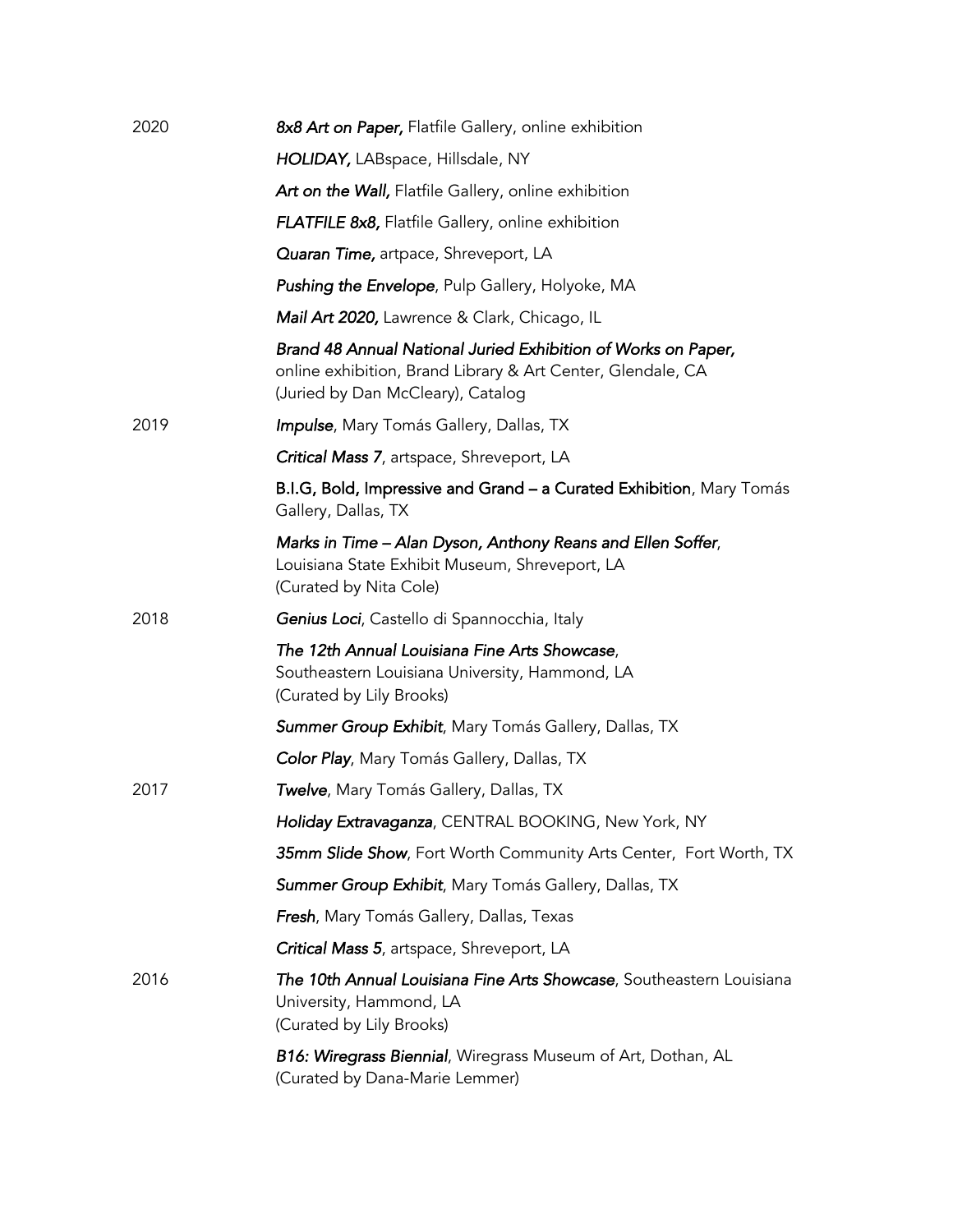| 2020 | 8x8 Art on Paper, Flatfile Gallery, online exhibition                                                                                                             |
|------|-------------------------------------------------------------------------------------------------------------------------------------------------------------------|
|      | HOLIDAY, LABspace, Hillsdale, NY                                                                                                                                  |
|      | Art on the Wall, Flatfile Gallery, online exhibition                                                                                                              |
|      | FLATFILE 8x8, Flatfile Gallery, online exhibition                                                                                                                 |
|      | Quaran Time, artpace, Shreveport, LA                                                                                                                              |
|      | <b>Pushing the Envelope</b> , Pulp Gallery, Holyoke, MA                                                                                                           |
|      | Mail Art 2020, Lawrence & Clark, Chicago, IL                                                                                                                      |
|      | Brand 48 Annual National Juried Exhibition of Works on Paper,<br>online exhibition, Brand Library & Art Center, Glendale, CA<br>(Juried by Dan McCleary), Catalog |
| 2019 | Impulse, Mary Tomás Gallery, Dallas, TX                                                                                                                           |
|      | Critical Mass 7, artspace, Shreveport, LA                                                                                                                         |
|      | B.I.G, Bold, Impressive and Grand - a Curated Exhibition, Mary Tomás<br>Gallery, Dallas, TX                                                                       |
|      | Marks in Time – Alan Dyson, Anthony Reans and Ellen Soffer,<br>Louisiana State Exhibit Museum, Shreveport, LA<br>(Curated by Nita Cole)                           |
| 2018 | Genius Loci, Castello di Spannocchia, Italy                                                                                                                       |
|      | The 12th Annual Louisiana Fine Arts Showcase,<br>Southeastern Louisiana University, Hammond, LA<br>(Curated by Lily Brooks)                                       |
|      | <b>Summer Group Exhibit, Mary Tomás Gallery, Dallas, TX</b>                                                                                                       |
|      | Color Play, Mary Tomás Gallery, Dallas, TX                                                                                                                        |
| 2017 | <b>Twelve, Mary Tomás Gallery, Dallas, TX</b>                                                                                                                     |
|      | Holiday Extravaganza, CENTRAL BOOKING, New York, NY                                                                                                               |
|      | 35mm Slide Show, Fort Worth Community Arts Center, Fort Worth, TX                                                                                                 |
|      | Summer Group Exhibit, Mary Tomás Gallery, Dallas, TX                                                                                                              |
|      | Fresh, Mary Tomás Gallery, Dallas, Texas                                                                                                                          |
|      | Critical Mass 5, artspace, Shreveport, LA                                                                                                                         |
| 2016 | The 10th Annual Louisiana Fine Arts Showcase, Southeastern Louisiana<br>University, Hammond, LA<br>(Curated by Lily Brooks)                                       |
|      | <b>B16: Wiregrass Biennial, Wiregrass Museum of Art, Dothan, AL</b><br>(Curated by Dana-Marie Lemmer)                                                             |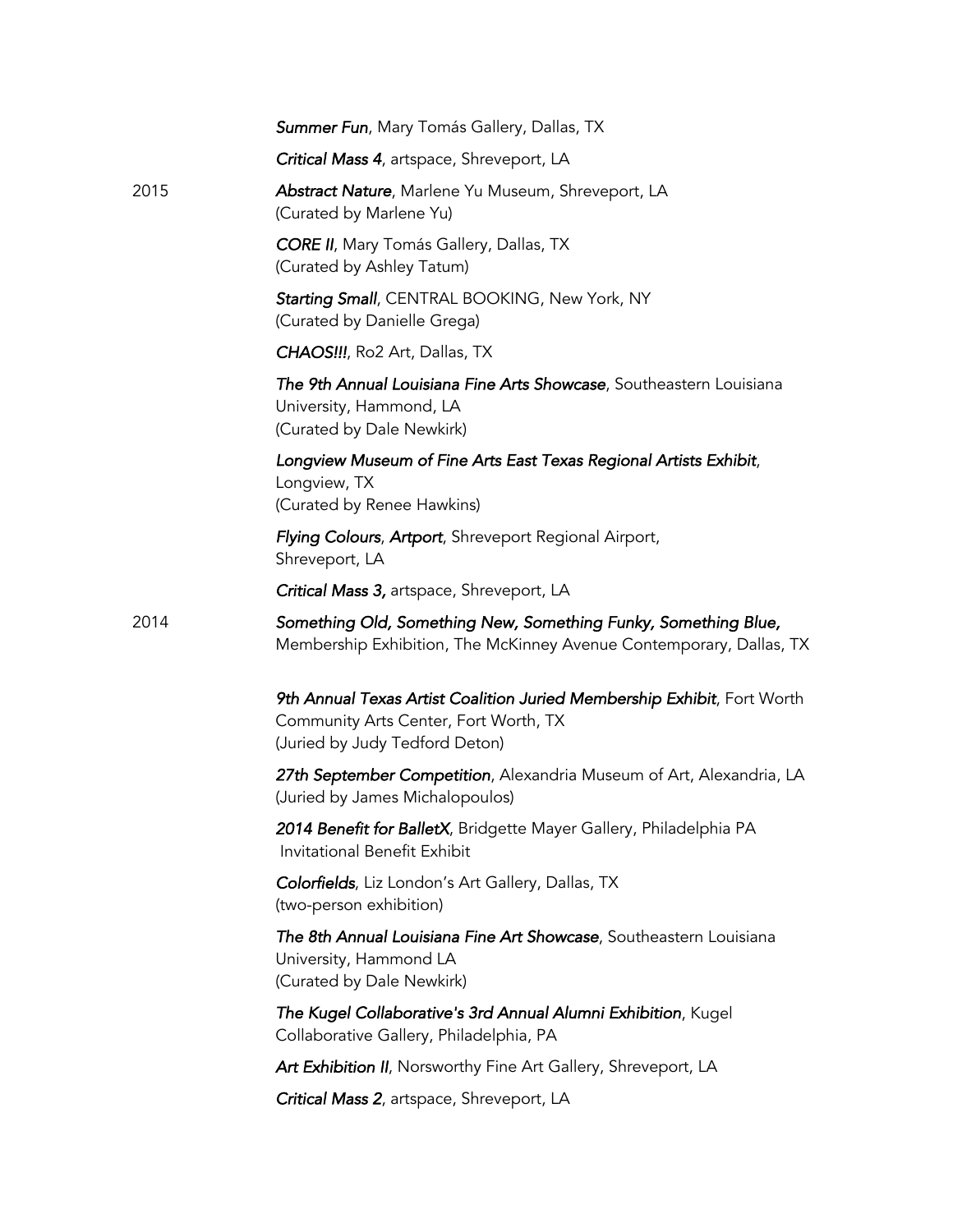|      | Summer Fun, Mary Tomás Gallery, Dallas, TX                                                                                                         |
|------|----------------------------------------------------------------------------------------------------------------------------------------------------|
|      | Critical Mass 4, artspace, Shreveport, LA                                                                                                          |
| 2015 | Abstract Nature, Marlene Yu Museum, Shreveport, LA<br>(Curated by Marlene Yu)                                                                      |
|      | <b>CORE II</b> , Mary Tomás Gallery, Dallas, TX<br>(Curated by Ashley Tatum)                                                                       |
|      | Starting Small, CENTRAL BOOKING, New York, NY<br>(Curated by Danielle Grega)                                                                       |
|      | <b>CHAOS!!!, Ro2 Art, Dallas, TX</b>                                                                                                               |
|      | The 9th Annual Louisiana Fine Arts Showcase, Southeastern Louisiana<br>University, Hammond, LA<br>(Curated by Dale Newkirk)                        |
|      | Longview Museum of Fine Arts East Texas Regional Artists Exhibit,<br>Longview, TX<br>(Curated by Renee Hawkins)                                    |
|      | <b>Flying Colours, Artport, Shreveport Regional Airport,</b><br>Shreveport, LA                                                                     |
|      | Critical Mass 3, artspace, Shreveport, LA                                                                                                          |
| 2014 | Something Old, Something New, Something Funky, Something Blue,<br>Membership Exhibition, The McKinney Avenue Contemporary, Dallas, TX              |
|      | 9th Annual Texas Artist Coalition Juried Membership Exhibit, Fort Worth<br>Community Arts Center, Fort Worth, TX<br>(Juried by Judy Tedford Deton) |
|      | 27th September Competition, Alexandria Museum of Art, Alexandria, LA<br>(Juried by James Michalopoulos)                                            |
|      | 2014 Benefit for BalletX, Bridgette Mayer Gallery, Philadelphia PA<br>Invitational Benefit Exhibit                                                 |
|      | Colorfields, Liz London's Art Gallery, Dallas, TX<br>(two-person exhibition)                                                                       |
|      | The 8th Annual Louisiana Fine Art Showcase, Southeastern Louisiana<br>University, Hammond LA<br>(Curated by Dale Newkirk)                          |
|      | The Kugel Collaborative's 3rd Annual Alumni Exhibition, Kugel<br>Collaborative Gallery, Philadelphia, PA                                           |
|      | Art Exhibition II, Norsworthy Fine Art Gallery, Shreveport, LA                                                                                     |
|      |                                                                                                                                                    |
|      | Critical Mass 2, artspace, Shreveport, LA                                                                                                          |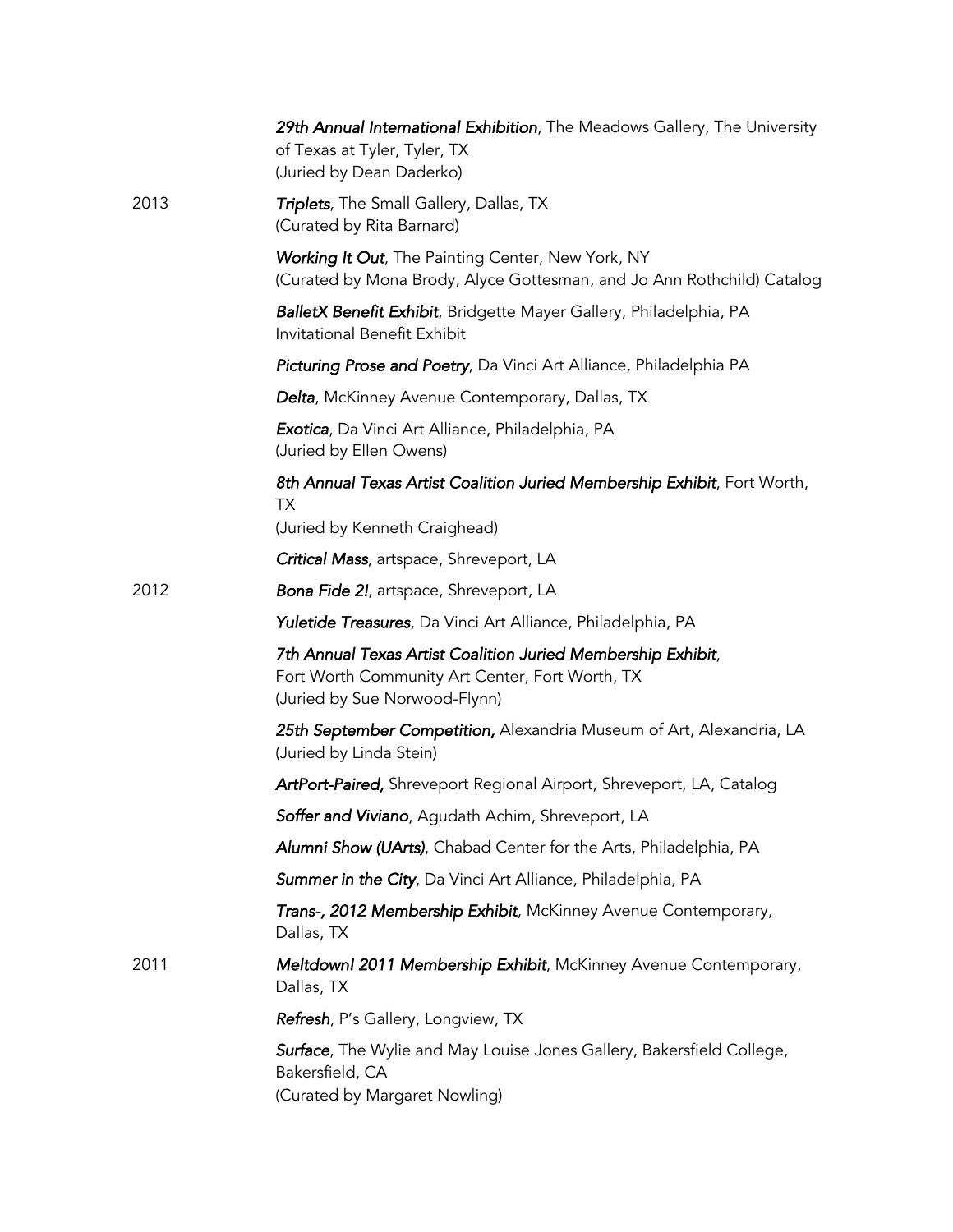|      | 29th Annual International Exhibition, The Meadows Gallery, The University<br>of Texas at Tyler, Tyler, TX<br>(Juried by Dean Daderko)            |
|------|--------------------------------------------------------------------------------------------------------------------------------------------------|
| 2013 | Triplets, The Small Gallery, Dallas, TX<br>(Curated by Rita Barnard)                                                                             |
|      | Working It Out, The Painting Center, New York, NY<br>(Curated by Mona Brody, Alyce Gottesman, and Jo Ann Rothchild) Catalog                      |
|      | <b>BalletX Benefit Exhibit</b> , Bridgette Mayer Gallery, Philadelphia, PA<br>Invitational Benefit Exhibit                                       |
|      | Picturing Prose and Poetry, Da Vinci Art Alliance, Philadelphia PA                                                                               |
|      | <b>Delta, McKinney Avenue Contemporary, Dallas, TX</b>                                                                                           |
|      | Exotica, Da Vinci Art Alliance, Philadelphia, PA<br>(Juried by Ellen Owens)                                                                      |
|      | 8th Annual Texas Artist Coalition Juried Membership Exhibit, Fort Worth,<br>ТX                                                                   |
|      | (Juried by Kenneth Craighead)                                                                                                                    |
|      | <b>Critical Mass</b> , artspace, Shreveport, LA                                                                                                  |
| 2012 | <b>Bona Fide 2!</b> , artspace, Shreveport, LA                                                                                                   |
|      | Yuletide Treasures, Da Vinci Art Alliance, Philadelphia, PA                                                                                      |
|      | 7th Annual Texas Artist Coalition Juried Membership Exhibit,<br>Fort Worth Community Art Center, Fort Worth, TX<br>(Juried by Sue Norwood-Flynn) |
|      | 25th September Competition, Alexandria Museum of Art, Alexandria, LA<br>(Juried by Linda Stein)                                                  |
|      | <b>ArtPort-Paired, Shreveport Regional Airport, Shreveport, LA, Catalog</b>                                                                      |
|      | Soffer and Viviano, Aqudath Achim, Shreveport, LA                                                                                                |
|      | Alumni Show (UArts), Chabad Center for the Arts, Philadelphia, PA                                                                                |
|      | Summer in the City, Da Vinci Art Alliance, Philadelphia, PA                                                                                      |
|      | Trans-, 2012 Membership Exhibit, McKinney Avenue Contemporary,<br>Dallas, TX                                                                     |
| 2011 | Meltdown! 2011 Membership Exhibit, McKinney Avenue Contemporary,<br>Dallas, TX                                                                   |
|      | Refresh, P's Gallery, Longview, TX                                                                                                               |
|      | Surface, The Wylie and May Louise Jones Gallery, Bakersfield College,<br>Bakersfield, CA<br>(Curated by Margaret Nowling)                        |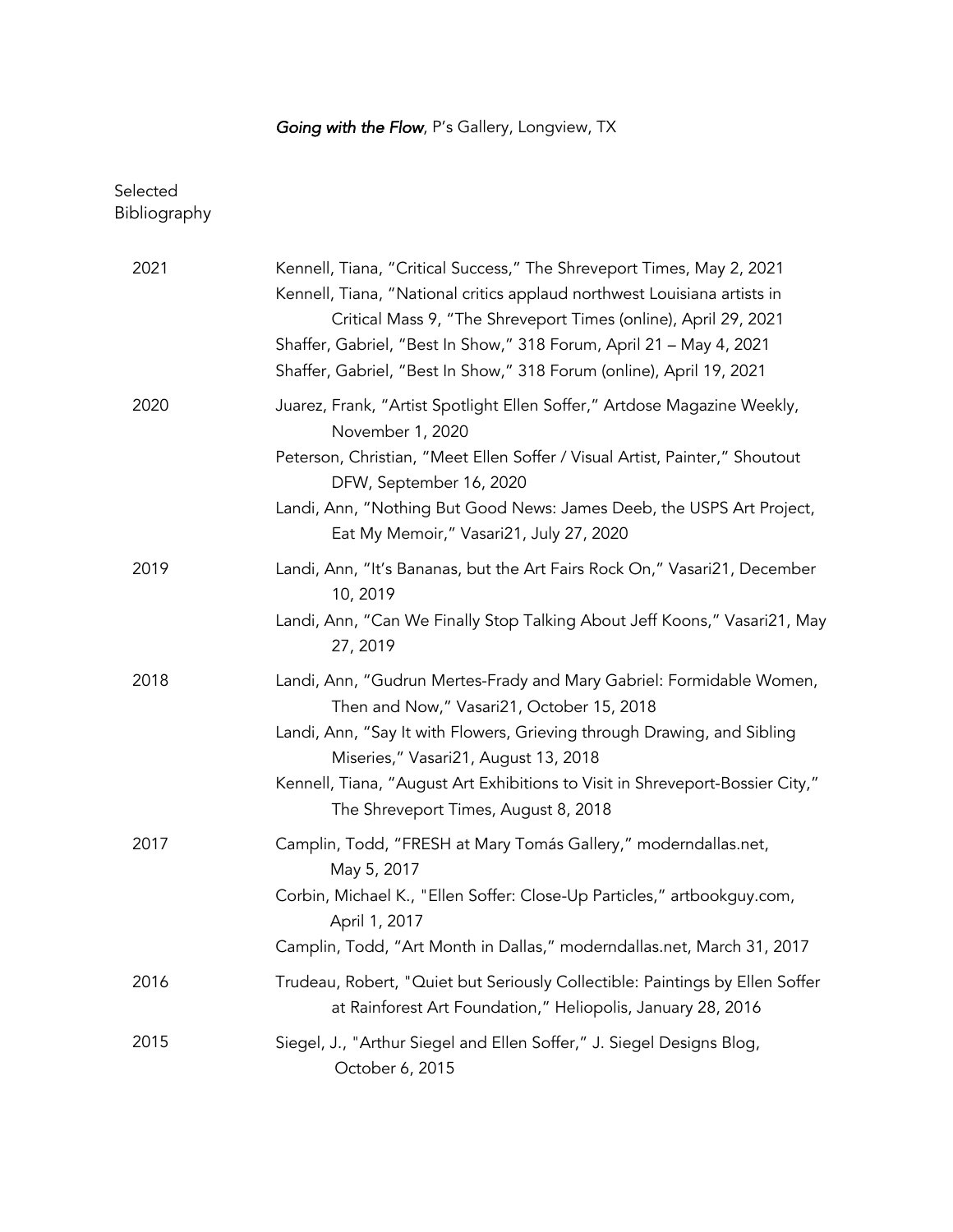## *Going with the Flow*, P's Gallery, Longview, TX

## Selected **Bibliography**

| 2021 | Kennell, Tiana, "Critical Success," The Shreveport Times, May 2, 2021<br>Kennell, Tiana, "National critics applaud northwest Louisiana artists in<br>Critical Mass 9, "The Shreveport Times (online), April 29, 2021<br>Shaffer, Gabriel, "Best In Show," 318 Forum, April 21 - May 4, 2021<br>Shaffer, Gabriel, "Best In Show," 318 Forum (online), April 19, 2021 |
|------|---------------------------------------------------------------------------------------------------------------------------------------------------------------------------------------------------------------------------------------------------------------------------------------------------------------------------------------------------------------------|
| 2020 | Juarez, Frank, "Artist Spotlight Ellen Soffer," Artdose Magazine Weekly,<br>November 1, 2020<br>Peterson, Christian, "Meet Ellen Soffer / Visual Artist, Painter," Shoutout<br>DFW, September 16, 2020<br>Landi, Ann, "Nothing But Good News: James Deeb, the USPS Art Project,<br>Eat My Memoir," Vasari21, July 27, 2020                                          |
| 2019 | Landi, Ann, "It's Bananas, but the Art Fairs Rock On," Vasari21, December<br>10, 2019<br>Landi, Ann, "Can We Finally Stop Talking About Jeff Koons," Vasari21, May<br>27, 2019                                                                                                                                                                                      |
| 2018 | Landi, Ann, "Gudrun Mertes-Frady and Mary Gabriel: Formidable Women,<br>Then and Now," Vasari21, October 15, 2018<br>Landi, Ann, "Say It with Flowers, Grieving through Drawing, and Sibling<br>Miseries," Vasari21, August 13, 2018<br>Kennell, Tiana, "August Art Exhibitions to Visit in Shreveport-Bossier City,"<br>The Shreveport Times, August 8, 2018       |
| 2017 | Camplin, Todd, "FRESH at Mary Tomás Gallery," moderndallas.net,<br>May 5, 2017<br>Corbin, Michael K., "Ellen Soffer: Close-Up Particles," artbookguy.com,<br>April 1, 2017<br>Camplin, Todd, "Art Month in Dallas," moderndallas.net, March 31, 2017                                                                                                                |
| 2016 | Trudeau, Robert, "Quiet but Seriously Collectible: Paintings by Ellen Soffer<br>at Rainforest Art Foundation," Heliopolis, January 28, 2016                                                                                                                                                                                                                         |
| 2015 | Siegel, J., "Arthur Siegel and Ellen Soffer," J. Siegel Designs Blog,<br>October 6, 2015                                                                                                                                                                                                                                                                            |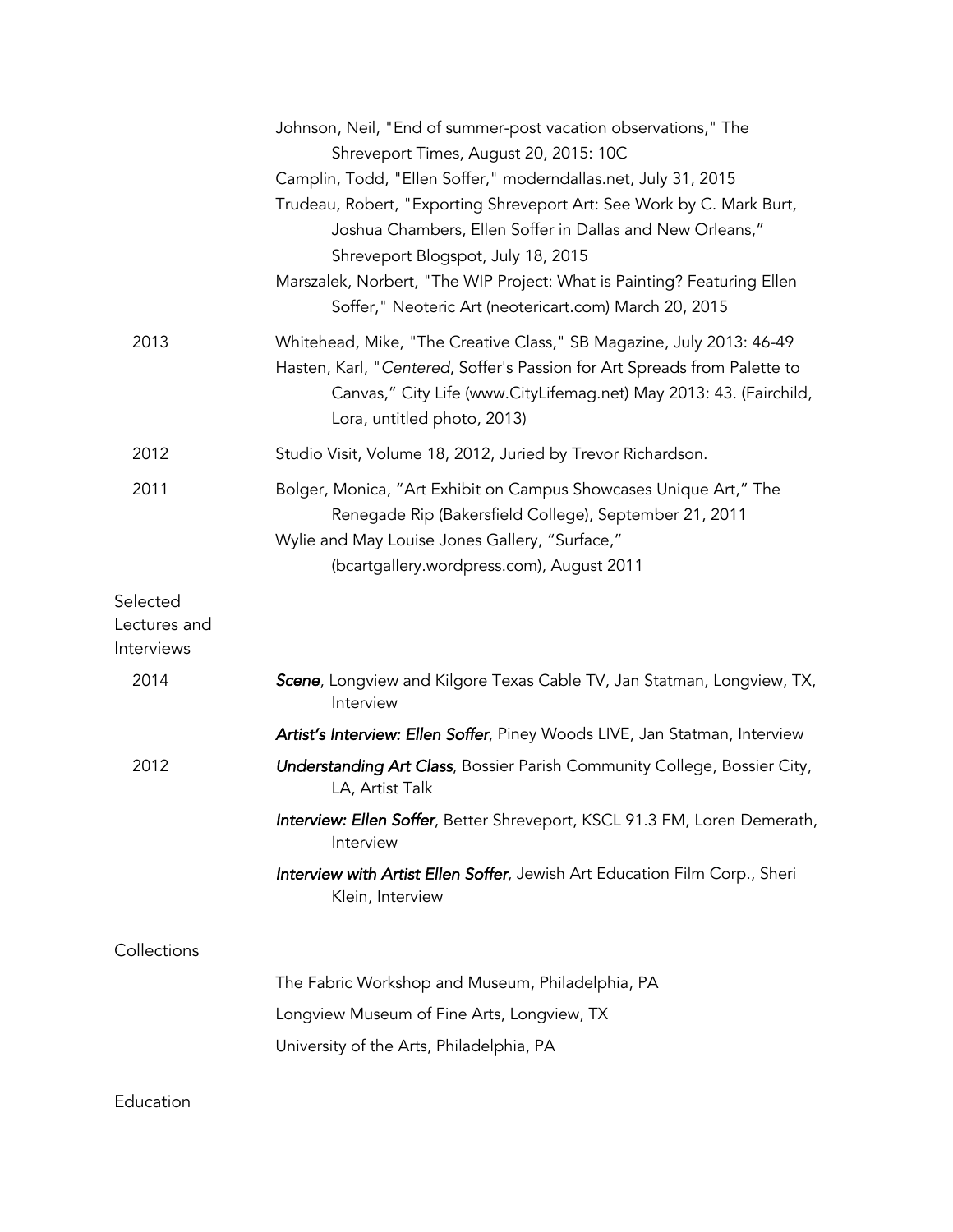|                            | Johnson, Neil, "End of summer-post vacation observations," The<br>Shreveport Times, August 20, 2015: 10C                                                                                                                                               |
|----------------------------|--------------------------------------------------------------------------------------------------------------------------------------------------------------------------------------------------------------------------------------------------------|
|                            | Camplin, Todd, "Ellen Soffer," moderndallas.net, July 31, 2015                                                                                                                                                                                         |
|                            | Trudeau, Robert, "Exporting Shreveport Art: See Work by C. Mark Burt,<br>Joshua Chambers, Ellen Soffer in Dallas and New Orleans,"<br>Shreveport Blogspot, July 18, 2015<br>Marszalek, Norbert, "The WIP Project: What is Painting? Featuring Ellen    |
|                            | Soffer," Neoteric Art (neotericart.com) March 20, 2015                                                                                                                                                                                                 |
| 2013                       | Whitehead, Mike, "The Creative Class," SB Magazine, July 2013: 46-49<br>Hasten, Karl, "Centered, Soffer's Passion for Art Spreads from Palette to<br>Canvas," City Life (www.CityLifemag.net) May 2013: 43. (Fairchild,<br>Lora, untitled photo, 2013) |
| 2012                       | Studio Visit, Volume 18, 2012, Juried by Trevor Richardson.                                                                                                                                                                                            |
| 2011                       | Bolger, Monica, "Art Exhibit on Campus Showcases Unique Art," The<br>Renegade Rip (Bakersfield College), September 21, 2011<br>Wylie and May Louise Jones Gallery, "Surface,"<br>(bcartgallery.wordpress.com), August 2011                             |
| Selected                   |                                                                                                                                                                                                                                                        |
| Lectures and<br>Interviews |                                                                                                                                                                                                                                                        |
| 2014                       | Scene, Longview and Kilgore Texas Cable TV, Jan Statman, Longview, TX,<br>Interview                                                                                                                                                                    |
|                            | Artist's Interview: Ellen Soffer, Piney Woods LIVE, Jan Statman, Interview                                                                                                                                                                             |
| 2012                       | Understanding Art Class, Bossier Parish Community College, Bossier City,<br>LA, Artist Talk                                                                                                                                                            |
|                            | Interview: Ellen Soffer, Better Shreveport, KSCL 91.3 FM, Loren Demerath,<br>Interview                                                                                                                                                                 |
|                            | Interview with Artist Ellen Soffer, Jewish Art Education Film Corp., Sheri<br>Klein, Interview                                                                                                                                                         |
| Collections                |                                                                                                                                                                                                                                                        |
|                            | The Fabric Workshop and Museum, Philadelphia, PA                                                                                                                                                                                                       |
|                            | Longview Museum of Fine Arts, Longview, TX                                                                                                                                                                                                             |
|                            | University of the Arts, Philadelphia, PA                                                                                                                                                                                                               |
| Education                  |                                                                                                                                                                                                                                                        |